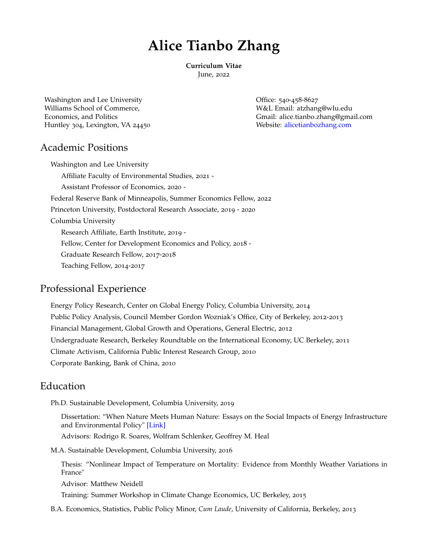# **Alice Tianbo Zhang**

**Curriculum Vitae**

June, 2022

Washington and Lee University **Containers** Containers Containers Office: 540-458-8627 Williams School of Commerce, W&L Email: [atzhang@wlu.edu](mailto:atzhang@wlu.edu) Huntley 304, Lexington, VA 24450 Website: [alicetianbozhang.com](http://www.alicetianbozhang.com/)

Economics, and Politics Gmail: [alice.tianbo.zhang@gmail.com](mailto:alice.tianbo.zhang@gmail.com)

# Academic Positions

Washington and Lee University Affiliate Faculty of Environmental Studies, 2021 - Assistant Professor of Economics, 2020 - Federal Reserve Bank of Minneapolis, Summer Economics Fellow, 2022 Princeton University, Postdoctoral Research Associate, 2019 - 2020 Columbia University Research Affiliate, Earth Institute, 2019 - Fellow, Center for Development Economics and Policy, 2018 - Graduate Research Fellow, 2017-2018 Teaching Fellow, 2014-2017

# Professional Experience

Energy Policy Research, Center on Global Energy Policy, Columbia University, 2014 Public Policy Analysis, Council Member Gordon Wozniak's Office, City of Berkeley, 2012-2013 Financial Management, Global Growth and Operations, General Electric, 2012 Undergraduate Research, Berkeley Roundtable on the International Economy, UC Berkeley, 2011 Climate Activism, California Public Interest Research Group, 2010 Corporate Banking, Bank of China, 2010

# Education

Ph.D. Sustainable Development, Columbia University, 2019

Dissertation: "When Nature Meets Human Nature: Essays on the Social Impacts of Energy Infrastructure and Environmental Policy" [\[Link\]](https://academiccommons.columbia.edu/doi/10.7916/d8-dww6-bb93)

Advisors: Rodrigo R. Soares, Wolfram Schlenker, Geoffrey M. Heal

M.A. Sustainable Development, Columbia University, 2016

Thesis: "Nonlinear Impact of Temperature on Mortality: Evidence from Monthly Weather Variations in France"

Advisor: Matthew Neidell

Training: [Summer Workshop in Climate Change Economics,](http://www.globalpolicy.science/climate-econometrics) UC Berkeley, 2015

B.A. Economics, Statistics, Public Policy Minor, *Cum Laude*, University of California, Berkeley, 2013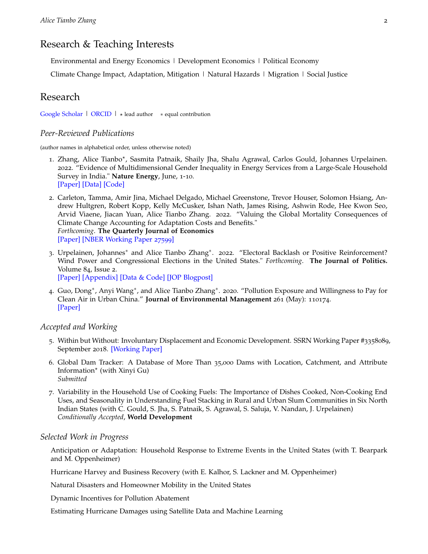# Research & Teaching Interests

Environmental and Energy Economics | Development Economics | Political Economy

Climate Change Impact, Adaptation, Mitigation | Natural Hazards | Migration | Social Justice

### Research

[Google Scholar](https://scholar.google.com/citations?hl=en&user=RGCrRysAAAAJ&view_op=list_works&authuser=1&sortby=pubdate) | [ORCID](https://orcid.org/0000-0001-6649-7628) |  $\star$  lead author  $\star$  equal contribution

#### *Peer-Reviewed Publications*

(author names in alphabetical order, unless otherwise noted)

- 1. Zhang, Alice Tianbo\*, Sasmita Patnaik, Shaily Jha, Shalu Agrawal, Carlos Gould, Johannes Urpelainen. 2022. "Evidence of Multidimensional Gender Inequality in Energy Services from a Large-Scale Household Survey in India." **Nature Energy**, June, 1-10. [\[Paper\]](https://rdcu.be/cPNc3) [\[Data\]](https://dataverse.harvard.edu/dataset.xhtml?persistentId=doi:10.7910/DVN/GV85BL) [\[Code\]](https://doi.org/10.5281/zenodo.6511986)
- 2. Carleton, Tamma, Amir Jina, Michael Delgado, Michael Greenstone, Trevor Houser, Solomon Hsiang, Andrew Hultgren, Robert Kopp, Kelly McCusker, Ishan Nath, James Rising, Ashwin Rode, Hee Kwon Seo, Arvid Viaene, Jiacan Yuan, Alice Tianbo Zhang. 2022. "Valuing the Global Mortality Consequences of Climate Change Accounting for Adaptation Costs and Benefits." *Forthcoming*. **The Quarterly Journal of Economics** [\[Paper\]](https://doi.org/10.1093/qje/qjac020) [\[NBER Working Paper](https://www.nber.org/papers/w27599) 27599]
- 3. Urpelainen, Johannes<sup>∗</sup> and Alice Tianbo Zhang<sup>∗</sup>. 2022. "Electoral Backlash or Positive Reinforcement? Wind Power and Congressional Elections in the United States." *Forthcoming*. **The Journal of Politics.** Volume 84, Issue 2.

[\[Paper\]](https://www.journals.uchicago.edu/doi/pdf/10.1086/718977) [\[Appendix\]](https://www.journals.uchicago.edu/doi/suppl/10.1086/718977/suppl_file/200420Appendix.pdf) [\[Data & Code\]](https://doi.org/10.7910/DVN/GQOYSS) [\[JOP Blogpost\]](https://jop.blogs.uni-hamburg.de/not-in-my-backyard/)

4. Guo, Dong<sup>∗</sup> , Anyi Wang<sup>∗</sup> , and Alice Tianbo Zhang<sup>∗</sup> . 2020. "Pollution Exposure and Willingness to Pay for Clean Air in Urban China." **Journal of Environmental Management** 261 (May): 110174. [\[Paper\]](https://www.sciencedirect.com/science/article/pii/S0301479720301109)

#### *Accepted and Working*

- 5. Within but Without: Involuntary Displacement and Economic Development. SSRN Working Paper #3358089, September 2018. [\[Working Paper\]](https://papers.ssrn.com/sol3/papers.cfm?abstract_id=3358089)
- 6. Global Dam Tracker: A Database of More Than 35,000 Dams with Location, Catchment, and Attribute Information<sup>\*</sup> (with Xinyi Gu) *Submitted*
- 7. Variability in the Household Use of Cooking Fuels: The Importance of Dishes Cooked, Non-Cooking End Uses, and Seasonality in Understanding Fuel Stacking in Rural and Urban Slum Communities in Six North Indian States (with C. Gould, S. Jha, S. Patnaik, S. Agrawal, S. Saluja, V. Nandan, J. Urpelainen) *Conditionally Accepted*, **World Development**

#### *Selected Work in Progress*

Anticipation or Adaptation: Household Response to Extreme Events in the United States (with T. Bearpark and M. Oppenheimer)

Hurricane Harvey and Business Recovery (with E. Kalhor, S. Lackner and M. Oppenheimer)

Natural Disasters and Homeowner Mobility in the United States

Dynamic Incentives for Pollution Abatement

Estimating Hurricane Damages using Satellite Data and Machine Learning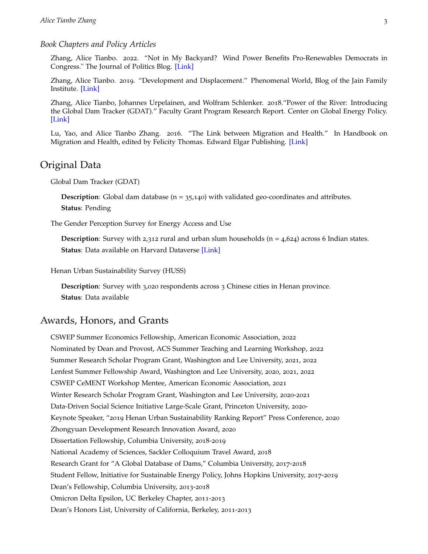#### *Book Chapters and Policy Articles*

Zhang, Alice Tianbo. 2022. "Not in My Backyard? Wind Power Benefits Pro-Renewables Democrats in Congress." The Journal of Politics Blog. [\[Link\]](https://jop.blogs.uni-hamburg.de/not-in-my-backyard/)

Zhang, Alice Tianbo. 2019. "Development and Displacement." Phenomenal World, Blog of the Jain Family Institute. [\[Link\]](https://phenomenalworld.org/analysis/development-and-displacement)

Zhang, Alice Tianbo, Johannes Urpelainen, and Wolfram Schlenker. 2018."Power of the River: Introducing the Global Dam Tracker (GDAT)." Faculty Grant Program Research Report. Center on Global Energy Policy. [\[Link\]](https://energypolicy.columbia.edu/sites/default/files/pictures/GlobalDams_CGEP_2018.pdf)

Lu, Yao, and Alice Tianbo Zhang. 2016. "The Link between Migration and Health." In Handbook on Migration and Health, edited by Felicity Thomas. Edward Elgar Publishing. [\[Link\]](https://www.elgaronline.com/view/edcoll/9781784714772/9781784714772.00011.xml)

### Original Data

Global Dam Tracker (GDAT)

**Description**: Global dam database ( $n = 35,140$ ) with validated geo-coordinates and attributes. **Status**: Pending

The Gender Perception Survey for Energy Access and Use

**Description**: Survey with 2,312 rural and urban slum households  $(n = 4.624)$  across 6 Indian states. **Status**: Data available on Harvard Dataverse [\[Link\]](https://dataverse.harvard.edu/dataset.xhtml?persistentId=doi:10.7910/DVN/GV85BL)

Henan Urban Sustainability Survey (HUSS)

**Description**: Survey with 3,020 respondents across 3 Chinese cities in Henan province. **Status**: Data available

### Awards, Honors, and Grants

CSWEP Summer Economics Fellowship, American Economic Association, 2022 Nominated by Dean and Provost, ACS Summer Teaching and Learning Workshop, 2022 Summer Research Scholar Program Grant, Washington and Lee University, 2021, 2022 Lenfest Summer Fellowship Award, Washington and Lee University, 2020, 2021, 2022 CSWEP CeMENT Workshop Mentee, American Economic Association, 2021 Winter Research Scholar Program Grant, Washington and Lee University, 2020-2021 Data-Driven Social Science Initiative Large-Scale Grant, Princeton University, 2020- Keynote Speaker, "2019 Henan Urban Sustainability Ranking Report" Press Conference, 2020 Zhongyuan Development Research Innovation Award, 2020 Dissertation Fellowship, Columbia University, 2018-2019 National Academy of Sciences, Sackler Colloquium Travel Award, 2018 Research Grant for "A Global Database of Dams," Columbia University, 2017-2018 Student Fellow, Initiative for Sustainable Energy Policy, Johns Hopkins University, 2017-2019 Dean's Fellowship, Columbia University, 2013-2018 Omicron Delta Epsilon, UC Berkeley Chapter, 2011-2013 Dean's Honors List, University of California, Berkeley, 2011-2013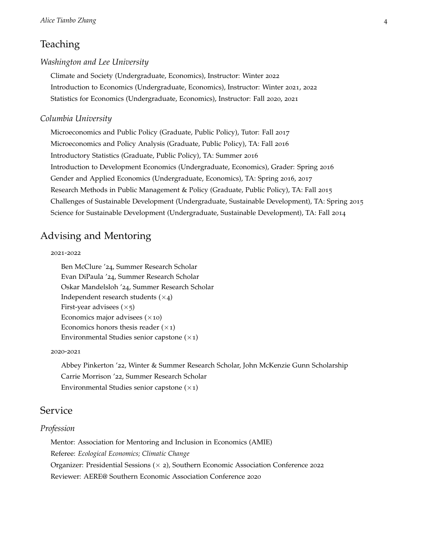# Teaching

#### *Washington and Lee University*

Climate and Society (Undergraduate, Economics), Instructor: Winter 2022 Introduction to Economics (Undergraduate, Economics), Instructor: Winter 2021, 2022 Statistics for Economics (Undergraduate, Economics), Instructor: Fall 2020, 2021

#### *Columbia University*

Microeconomics and Public Policy (Graduate, Public Policy), Tutor: Fall 2017 Microeconomics and Policy Analysis (Graduate, Public Policy), TA: Fall 2016 Introductory Statistics (Graduate, Public Policy), TA: Summer 2016 Introduction to Development Economics (Undergraduate, Economics), Grader: Spring 2016 Gender and Applied Economics (Undergraduate, Economics), TA: Spring 2016, 2017 Research Methods in Public Management & Policy (Graduate, Public Policy), TA: Fall 2015 Challenges of Sustainable Development (Undergraduate, Sustainable Development), TA: Spring 2015 Science for Sustainable Development (Undergraduate, Sustainable Development), TA: Fall 2014

# Advising and Mentoring

#### 2021-2022

Ben McClure '24, Summer Research Scholar Evan DiPaula '24, Summer Research Scholar Oskar Mandelsloh '24, Summer Research Scholar Independent research students  $(x_4)$ First-year advisees  $(\times$ 5) Economics major advisees  $(x10)$ Economics honors thesis reader  $(x_1)$ Environmental Studies senior capstone  $(x_1)$ 

#### 2020-2021

Abbey Pinkerton '22, Winter & Summer Research Scholar, John McKenzie Gunn Scholarship Carrie Morrison '22, Summer Research Scholar Environmental Studies senior capstone  $(x_1)$ 

### Service

#### *Profession*

Mentor: Association for Mentoring and Inclusion in Economics (AMIE) Referee: *Ecological Economics; Climatic Change* Organizer: Presidential Sessions (× 2), Southern Economic Association Conference 2022 Reviewer: AERE@ Southern Economic Association Conference 2020